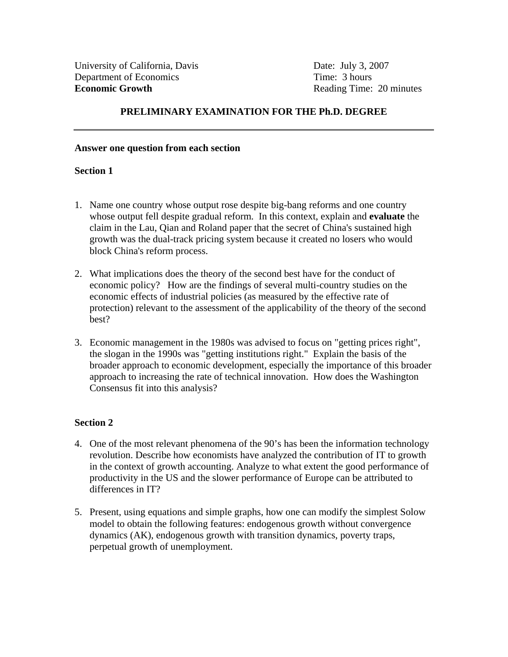# **PRELIMINARY EXAMINATION FOR THE Ph.D. DEGREE**

#### **Answer one question from each section**

### **Section 1**

- 1. Name one country whose output rose despite big-bang reforms and one country whose output fell despite gradual reform. In this context, explain and **evaluate** the claim in the Lau, Qian and Roland paper that the secret of China's sustained high growth was the dual-track pricing system because it created no losers who would block China's reform process.
- 2. What implications does the theory of the second best have for the conduct of economic policy? How are the findings of several multi-country studies on the economic effects of industrial policies (as measured by the effective rate of protection) relevant to the assessment of the applicability of the theory of the second best?
- 3. Economic management in the 1980s was advised to focus on "getting prices right", the slogan in the 1990s was "getting institutions right." Explain the basis of the broader approach to economic development, especially the importance of this broader approach to increasing the rate of technical innovation. How does the Washington Consensus fit into this analysis?

### **Section 2**

- 4. One of the most relevant phenomena of the 90's has been the information technology revolution. Describe how economists have analyzed the contribution of IT to growth in the context of growth accounting. Analyze to what extent the good performance of productivity in the US and the slower performance of Europe can be attributed to differences in IT?
- 5. Present, using equations and simple graphs, how one can modify the simplest Solow model to obtain the following features: endogenous growth without convergence dynamics (AK), endogenous growth with transition dynamics, poverty traps, perpetual growth of unemployment.